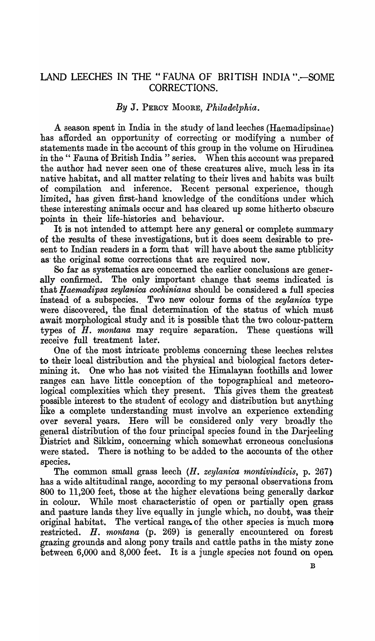## LAND LEECHES IN THE "FAUNA OF BRITISH INDIA ".- SOME CORRECTIONS.

## *By* J. PERCY MOORE, *Philadelphia.*

A Beason spent in India in the study of land leeches (Haemadipsinae) has afforded an opportunity of correcting or modifying a number of statements made in the account of this group in the volume on Hirudinea in the " Fauna of British India " series. When this account was prepared the author had never seen one of these creatures alive, much less in its native habitat, and all matter relating to their lives and habits was built of compilation and inference. Recent personal experience, though limited, has given first-hand knowledge of the conditions under which these interesting animals occur and has cleared up some hitherto obscure points in their life-histories and behaviour.

It is not intended to attempt here any general or complete summary of the results of these investigations, but it does seem desirable to present to Indian readers in a form that will have about the same publicity as the original some corrections that are required now.

So far as systematics are concerned the earlier conclusions are generally confirmed. The only important change that seems indicated is that *Haemadipsa zeylanica cochiniana* should be considered a full species instead of a subspecies.. Two new colour forms of the *zeylanica* type were discovered, the final determination of the status of which must await morphological study and it is possible that the two colour-pattern types of *H. montana* may require separation. These questions will receive full treatment later.

One of the most intricate problems concerning these leeches relates to their local distribution and the physical and biological factors determining it. One who has not visited the Himalayan foothills and lower ranges can have little conception of the topographical and meteorological complexities which they present. This gives them the greatest possible interest to the student of ecology and distribution but anything like a complete understanding must involve an experience extending over several years. Here will be considered only very broadly the general distribution of the four principal species found in the Darjeeling District and Sikkim, concerning which somewhat erroneous conclusions were stated. There is nothing to be added to the accounts of the other species.

The common small grass leech (H. *zeylanica montivindicis,* p. 267) has a wide altitudinal range, according to my personal observations from 800 to 11,200 feet, those at the higher elevations being generally darker in colour. While most characteristic of open or partially open grass and pasture lands they live equally in jungle which, no doubt, was their original habitat. The vertical range. of the other species is much more restricted. H. *montana* (p. 269) is generally encountered on forest grazing grounds and along pony trails and cattle paths in the misty zone between 6,000 and 8,000 feet. It is a jungle species not found on open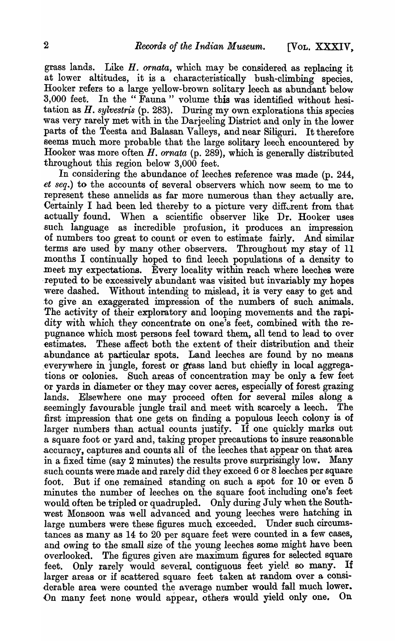grass lands. Like H. *ornata,* which may be considered as replacing it at lower altitudes, it is a characteristically bush-climbing species. Hooker refers to a large yellow-brown solitary leech as abundant below 8,000 feet. In the" Fauna" volume this was identified without hesitation as *H. sylvestris* (p. 283). During my own explorations this species was very rarely met with in the Darjeeling District and only in the lower parts of the Teesta and Balasan Valleys, and near Siliguri. It therefore seems much more probable that the large solitary leech encountered by Hooker was more often  $H$ , *ornata* (p. 289), which is generally distributed throughout this region below 3,000 feet.

In considering the abundance of leeches reference was made (p. 244, *et seq.*) to the accounts of several observers which now seem, to me to represent these annelids as far more numerous than they actually are. Certainly I had been led thereby to a picture very different from that actually found. When a scientific observer like Dr. Hooker uses .such language as incredible profusion, it produces an impression of numbers too great to count or even to estimate fairly. And similar terms are used by many other observers. Throughout my stay of 11 months I continually hoped to find leech populations of a density to meet my expectations. Every locality within reach where leeches were . reputed to be excessively abundant was visited but invariably my hopes were dashed. Without intending to mislead, it is very easy to get and :to give an exaggerated impression of the numbers of such animals. 'The activity of their exploratory and looping movements and the rapidity with which they concentrate on one's feet, combined with the repugnance which most persons feel toward them, all tend to lead to over estimates. These affect both the extent of their distribution and their .abundance at particular spots. Land leeches are found by no means .€verywhere in jungle, forest or grass land but chiefly in local aggregations or colonies. Such areas of concentration may be only a few feet or yards in diameter or they may cover acres, especially of forest grazing lands. Elsewhere one may proceed often for several miles along a £eemingly favourable jungle trail and meet with scarcely a leech. The first impression that one gets on finding a populous leech colony is of larger numbers than actual counts justify. If one quickly marks out a square foot or yard and, taking proper precautions to insure reasonable .accuracy, captures and counts all of the leeches that appear on that area in a fixed time (say 2 minutes) the results prove surprisingly low. Many .such counts were made and rarely did they exceed 6 or Bleeches per square foot. But if one remained standing on such a spot for 10 or even 5 minutes the number of leeches on the square foot including one's feet would often be tripled or quadrupled.. Only during July when the Southwest Monsoon was well advanced and young leeches were hatching in large numbers were these figures much exceeded. Under such circumstances as many as 14 to 20 per square feet were counted in a few cases, and owing to the small size of the young leeches some might have been overlooked. The figures given ate maximum figures for selected square feet. Only rarely would several contiguous feet yield so many. If larger areas or if scattered square feet taken at random over a considerable area were counted the average number would fall much lower. On many feet none would appear, others would yield only one. On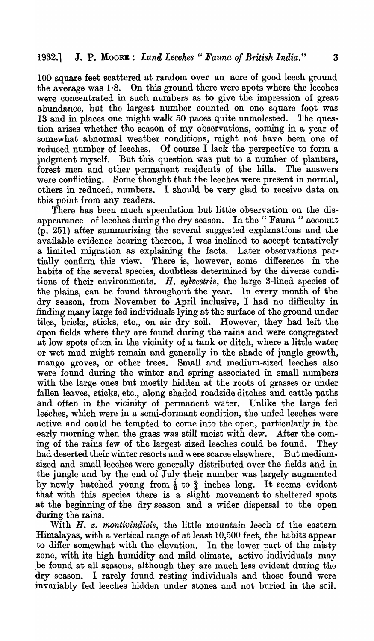100 square feet scattered at random over an acre of good leech ground the average was  $1.8$ . On this ground there were spots where the leeches were concentrated in such numbers as to give the impression of great abundance, but the largest number counted on one square foot was 13 and in places one might walk 50 paces quite unmolested. The question arises whether the season of my observations, coming in a year of somewhat abnormal weather conditions, might not have been one of reduced number of leeches. Of course I lack the perspective to form a judgment myself. But this question was put to a number of planters, forest men and other permanent residents of the hills. The answers were conflicting. Some thought that the leeches were present in normal, others in reduced, numbers. I should be very glad to receive data on this point from any readers.

There has been much speculation but little observation on the disappearance of leeches during the dry season. In the "Fauna" account (p. 251) after summarizing the several suggested explanations and the available evidence bearing thereon, I was inclined to accept tentatively a limited migration. as explaining the facts. Later observations par· tially confirm this view. There is, however, some difference in the habits of the several species, doubtless determined by the diverse conditions of their environments. *H. sylvestris,* the large 3-lined species of the plains, can be found throughout the year. In every month of the dry season, from November to April inclusive, I had no difficulty in finding many large fed individuals lying at the surface of the ground under tiles, bricks, sticks, etc., on air dry soil. However, they had left the open fields where they are found during the rains and were congregated at low spots often in the vicinity of a tank or ditch, where a little water or wet mud might remajn and generally in the shade of jungle growth, mango groves, or other trees. Small and medium-sized leeches also were found during the winter and spring associated in small numbers with the large ones but mostly hidden at the roots of grasses or under fallen leaves, sticks, etc., along shaded roadside ditches and cattle paths and often in the vicinity of permanent water. Unlike the large fed leeches, which were in a semi-dormant condition, the unfed leeches were active and could be tempted to come into the open, particularly in the early morning when the grass was still moist with dew. After the coming of the rains few of the largest sized leeches could be found. They had deserted their winter resorts and were scarce elsewhere. But mediumsized and small leeches were generally distributed over the fields and in the jungle and by the end of July their number was largely augmented by newly hatched young from  $\frac{1}{2}$  to  $\frac{3}{4}$  inches long. It seems evident that with this species there is a slight movement to sheltered spots at the beginning of the dry season and a wider dispersal to the open during the rains.

With H. *z. montivindicis,* the little mountain leech of the eastern Himalayas, with a vertical range of at least 10,500 feet, the habits appear to differ somewhat with the elevation. In the lower part of the misty zone, with its high humidity and mild climate, active individuals may ,be found at all seasons, although they are much less evident during the dry season. I rarely found resting individuals and those found were invariably fed leeches hidden under stones and not buried in the soil.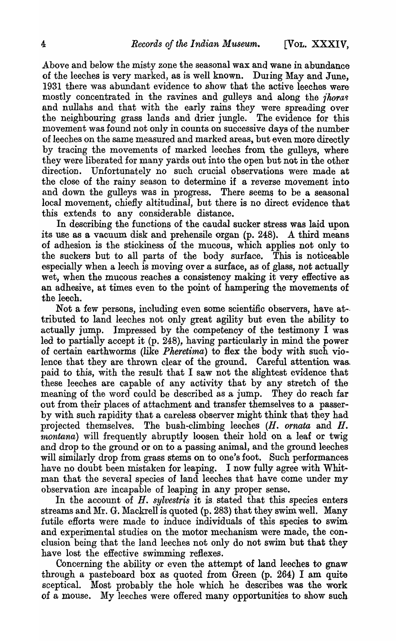Above and below the misty zone the seasonal wax and wane in abundance of the leeches is very marked, as is well known. During May and June, 1931 there was abundant evidence to show that the active leeches were mostly concentrated in the ravines and gulleys and along the *ihoras* and nullahs and that with the early rains they were spreading over the neighbouring grass lands and drier jungle. The evidence for this movement was found not only in counts on successive days of the number of leeches on the same measured and marked areas, but even more directly by tracing the movements of marked leeches from the gulleys, where they were liberated for many yards out into the open but not in the other direction. Unfortunately no such crucial observations were made at the close of the rainy season to determine if a reverse movement into and down the gulleys was in progress. There seems to be a seasonal local movement, chiefly altitudinal, but there is no direct evidence that this extends to any considerable distance.

In describing the functions of the caudal sucker stress was laid upon its use as a vacuum disk and prehensile organ (p. 248). A third means of adhesion is the stickiness of the mucous, which applies not only to the suckers but to all parts of the body surface. This is noticeable especially when a leech is moving over a surface, as of glass, not actually wet, when the mucous reaches a consistency making it very effective as an adhesive, at times even to the point of hampering the movements of the leech.

Not a few persons, including even some scientific observers, have at- tributed to land leeches not only great agility but even the ability to actually jump. Impressed by the competency of the testimony I was led to partially accept it (p. 248), having particularly in mind the power of certain earthworms (like *Pkeretirna)* to flex the body with such violence that they are thrown clear of the ground. Careful attention was. paid to this, with the result that I saw not the slightest evidence that these leeches are capable of any activity that by any stretch of the meaning of the word could be described as a jump. They do reach far out from their places of attachment and transfer themselves to a passerby with such rapidity that a careless observer might think that they had projected themselves. The bush-climbing leeches (H. *ornata* and H. montana) will frequently abruptly loosen their hold on a leaf or twig and drop to the ground or on to a passing animal, and the ground leeches will similarly drop from grass stems on to one's foot. Such performances have no doubt been mistaken for leaping. I now fully agree with Whitman that the several species of land leeches that have come under my observation are incapable of leaping in any proper sense.

In the account of *H. sylvestris* it is. stated that this species enters streams and Mr. G. Mackrell is quoted (p. 283) that they swim well. Many futile efforts were made to induce individuals of this species to swimand experimental studies on the motor mechanism were made, the conclusion being that the land leeches not only do not swim but that they have lost the efiective swimming reflexes.

Concerning the ability or even the attempt of land leeches to gnaw through a pasteboard box as quoted from Green (p. 264) I am quite sceptical. Most probably the hole which he describes was the work of a mouse. My leeches were ofiered many opportunities to show such-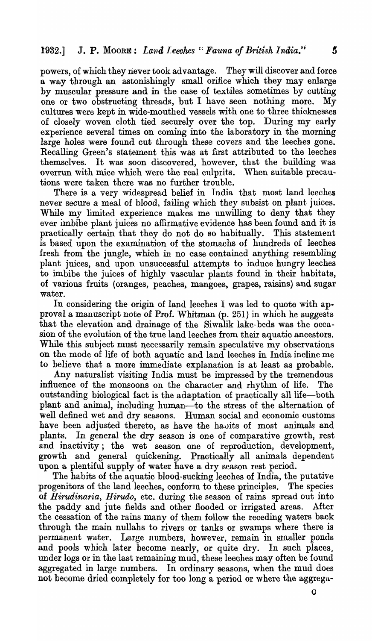## 1932.] J. P. Moore: *Land Leeches* "Fauna of British India." 5

powers, of which they never took advantage. They will discover and force a way through an astonishingly small orifice which they may enlarge by muscular pressure and in the case of textiles sometimes by cutting one or two obstructing threads, but I have seen nothing more. My cultures were kept in wide-mouthed vessels with one to three thicknesses of closely woven cloth tied securely over the top. During my early experience several times on coming into the laboratory in the morning large holes were found cut through these covers and the leeches gone. Recalling Green's statement this was at first attributed to the leeches themselves. It was soon discovered, however, that the building was overrun with mice which were the real culprits. When suitable precautions were taken there was no further trouble.

There is a very widespread belief in India that most land leeches never secure a meal of blood, failing which they subsist on plant juices. While my limited experience makes me unwilling to deny that they ever imbibe plant juices no affirmative evidence has been found and it is practically certain that they do not do so habitually. This statement is based upon the examination of the stomachs of hundreds of leeches fresh from the jungle, which in no case contained anything resembling plant juices, and upon unsuccessful attempts to induce hungry leeches to imbibe the juices of highly vascular plants found in their habitats, of various fruits (oranges, peaches, mangoes, grapes, raisins) and sugar water.

In considering the origin of land leeches I was led to quote with approval a manuscript note of Prof. Whitman (p. 251) in which he suggests that the elevation and drainage of the Siwalik lake-beds was the occasion of the evolution of the true land leeches from their aquatic ancestors. While this subject must necessarily remain speculative my observations on the mode of life of both aquatic and land leeches in India incline me to believe that a more immediate explanation is at least as probable.

Any naturalist visiting India must be impressed by the tremendous influence of the monsoons on the character and rhythm of life. The outstanding biological fact is the adaptation of practically all life-both plant and animal, including human-to the stress of the alternation of well defined wet and dry seasons. Human social and economic customs have been adjusted thereto, as have the hauits of most animals and plants. In general the dry season is one of comparative growth, rest and inactivity; the wet season one of reproduction, development, growth and general quickening. Practically all animals dependent upon a plentiful supply of water have a dry season rest period.

The habits of the aquatic blood-sucking leeches of India, the putative progenitors of the land leeches, conform to these principles. The species of *Hirudinaria, Hirudo*, etc. during the season of rains spread out into the paddy and jute fields and other flooded or irrigated areas. After the cessation of the rains many of them follow the receding waters back through the main nullahs to rivers or tanks or swamps where there is permanent water. Large numbers, however, remain in smaller ponds and pools which later become nearly, or quite dry. In such places, under logs or in the last remaining mud, these leeches may often be found aggregated in large numbers. In ordinary seasons, when the mud does not become dried completely for too long a period or where the aggrega